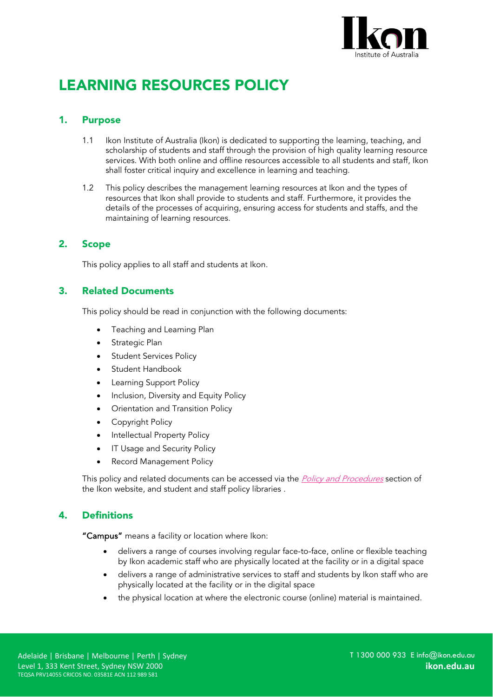

# LEARNING RESOURCES POLICY

### 1. Purpose

- 1.1 Ikon Institute of Australia (Ikon) is dedicated to supporting the learning, teaching, and scholarship of students and staff through the provision of high quality learning resource services. With both online and offline resources accessible to all students and staff, Ikon shall foster critical inquiry and excellence in learning and teaching.
- 1.2 This policy describes the management learning resources at Ikon and the types of resources that Ikon shall provide to students and staff. Furthermore, it provides the details of the processes of acquiring, ensuring access for students and staffs, and the maintaining of learning resources.

## 2. Scope

This policy applies to all staff and students at Ikon.

## 3. Related Documents

This policy should be read in conjunction with the following documents:

- Teaching and Learning Plan
- Strategic Plan
- **Student Services Policy**
- Student Handbook
- **Learning Support Policy**
- Inclusion, Diversity and Equity Policy
- Orientation and Transition Policy
- Copyright Policy
- Intellectual Property Policy
- IT Usage and Security Policy
- Record Management Policy

This policy and related documents can be accessed via the *[Policy and Procedures](https://ikon.edu.au/policies-procedures/)* section of the Ikon website, and student and staff policy libraries .

# 4. Definitions

"Campus" means a facility or location where Ikon:

- delivers a range of courses involving regular face-to-face, online or flexible teaching by Ikon academic staff who are physically located at the facility or in a digital space
- delivers a range of administrative services to staff and students by Ikon staff who are physically located at the facility or in the digital space
- the physical location at where the electronic course (online) material is maintained.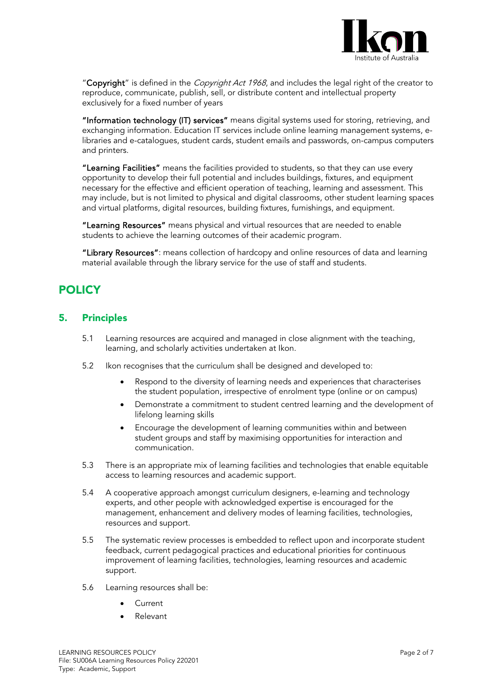

"Copyright" is defined in the *Copyright Act 1968*, and includes the legal right of the creator to reproduce, communicate, publish, sell, or distribute content and intellectual property exclusively for a fixed number of years

"Information technology (IT) services" means digital systems used for storing, retrieving, and exchanging information. Education IT services include online learning management systems, elibraries and e-catalogues, student cards, student emails and passwords, on-campus computers and printers.

"Learning Facilities" means the facilities provided to students, so that they can use every opportunity to develop their full potential and includes buildings, fixtures, and equipment necessary for the effective and efficient operation of teaching, learning and assessment. This may include, but is not limited to physical and digital classrooms, other student learning spaces and virtual platforms, digital resources, building fixtures, furnishings, and equipment.

"Learning Resources" means physical and virtual resources that are needed to enable students to achieve the learning outcomes of their academic program.

"Library Resources": means collection of hardcopy and online resources of data and learning material available through the library service for the use of staff and students.

# **POLICY**

#### 5. Principles

- 5.1 Learning resources are acquired and managed in close alignment with the teaching, learning, and scholarly activities undertaken at Ikon.
- 5.2 Ikon recognises that the curriculum shall be designed and developed to:
	- Respond to the diversity of learning needs and experiences that characterises the student population, irrespective of enrolment type (online or on campus)
	- Demonstrate a commitment to student centred learning and the development of lifelong learning skills
	- Encourage the development of learning communities within and between student groups and staff by maximising opportunities for interaction and communication.
- 5.3 There is an appropriate mix of learning facilities and technologies that enable equitable access to learning resources and academic support.
- 5.4 A cooperative approach amongst curriculum designers, e-learning and technology experts, and other people with acknowledged expertise is encouraged for the management, enhancement and delivery modes of learning facilities, technologies, resources and support.
- 5.5 The systematic review processes is embedded to reflect upon and incorporate student feedback, current pedagogical practices and educational priorities for continuous improvement of learning facilities, technologies, learning resources and academic support.
- 5.6 Learning resources shall be:
	- **Current**
	- Relevant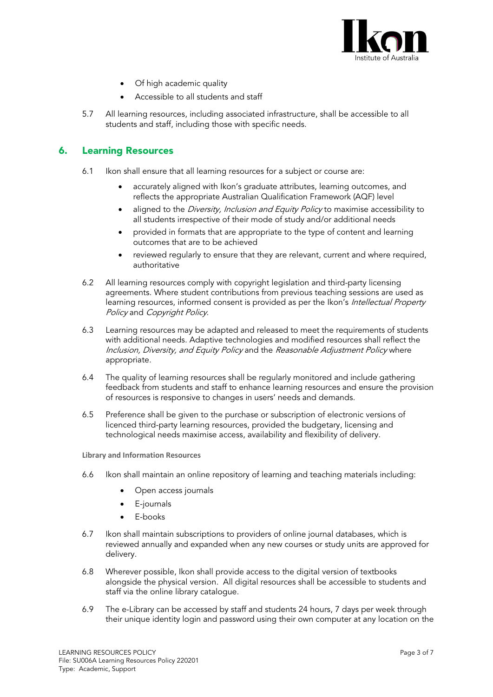

- Of high academic quality
- Accessible to all students and staff
- 5.7 All learning resources, including associated infrastructure, shall be accessible to all students and staff, including those with specific needs.

#### 6. Learning Resources

- 6.1 Ikon shall ensure that all learning resources for a subject or course are:
	- accurately aligned with Ikon's graduate attributes, learning outcomes, and reflects the appropriate Australian Qualification Framework (AQF) level
	- aligned to the Diversity, Inclusion and Equity Policy to maximise accessibility to all students irrespective of their mode of study and/or additional needs
	- provided in formats that are appropriate to the type of content and learning outcomes that are to be achieved
	- reviewed regularly to ensure that they are relevant, current and where required, authoritative
- 6.2 All learning resources comply with copyright legislation and third-party licensing agreements. Where student contributions from previous teaching sessions are used as learning resources, informed consent is provided as per the Ikon's Intellectual Property Policy and Copyright Policy.
- 6.3 Learning resources may be adapted and released to meet the requirements of students with additional needs. Adaptive technologies and modified resources shall reflect the Inclusion, Diversity, and Equity Policy and the Reasonable Adjustment Policy where appropriate.
- 6.4 The quality of learning resources shall be regularly monitored and include gathering feedback from students and staff to enhance learning resources and ensure the provision of resources is responsive to changes in users' needs and demands.
- 6.5 Preference shall be given to the purchase or subscription of electronic versions of licenced third-party learning resources, provided the budgetary, licensing and technological needs maximise access, availability and flexibility of delivery.

**Library and Information Resources**

- 6.6 Ikon shall maintain an online repository of learning and teaching materials including:
	- Open access journals
	- E-journals
	- E-books
- 6.7 Ikon shall maintain subscriptions to providers of online journal databases, which is reviewed annually and expanded when any new courses or study units are approved for delivery.
- 6.8 Wherever possible, Ikon shall provide access to the digital version of textbooks alongside the physical version. All digital resources shall be accessible to students and staff via the online library catalogue.
- 6.9 The e-Library can be accessed by staff and students 24 hours, 7 days per week through their unique identity login and password using their own computer at any location on the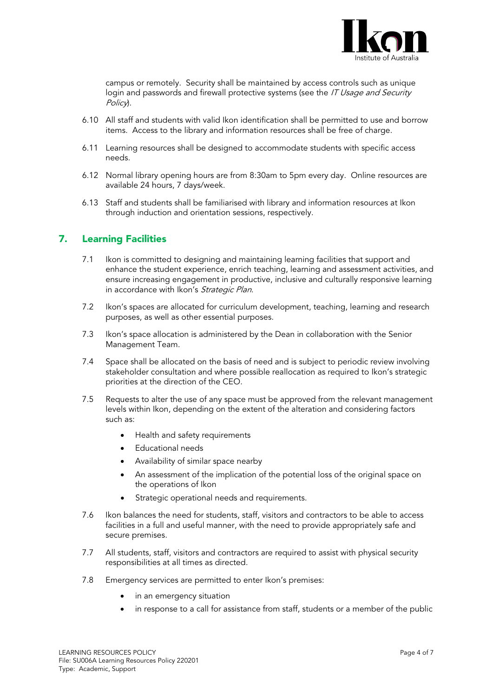

campus or remotely. Security shall be maintained by access controls such as unique login and passwords and firewall protective systems (see the IT Usage and Security Policy.

- 6.10 All staff and students with valid Ikon identification shall be permitted to use and borrow items. Access to the library and information resources shall be free of charge.
- 6.11 Learning resources shall be designed to accommodate students with specific access needs.
- 6.12 Normal library opening hours are from 8:30am to 5pm every day. Online resources are available 24 hours, 7 days/week.
- 6.13 Staff and students shall be familiarised with library and information resources at Ikon through induction and orientation sessions, respectively.

#### 7. Learning Facilities

- 7.1 Ikon is committed to designing and maintaining learning facilities that support and enhance the student experience, enrich teaching, learning and assessment activities, and ensure increasing engagement in productive, inclusive and culturally responsive learning in accordance with Ikon's Strategic Plan.
- 7.2 Ikon's spaces are allocated for curriculum development, teaching, learning and research purposes, as well as other essential purposes.
- 7.3 Ikon's space allocation is administered by the Dean in collaboration with the Senior Management Team.
- 7.4 Space shall be allocated on the basis of need and is subject to periodic review involving stakeholder consultation and where possible reallocation as required to Ikon's strategic priorities at the direction of the CEO.
- 7.5 Requests to alter the use of any space must be approved from the relevant management levels within Ikon, depending on the extent of the alteration and considering factors such as:
	- Health and safety requirements
	- Educational needs
	- Availability of similar space nearby
	- An assessment of the implication of the potential loss of the original space on the operations of Ikon
	- Strategic operational needs and requirements.
- 7.6 Ikon balances the need for students, staff, visitors and contractors to be able to access facilities in a full and useful manner, with the need to provide appropriately safe and secure premises.
- 7.7 All students, staff, visitors and contractors are required to assist with physical security responsibilities at all times as directed.
- 7.8 Emergency services are permitted to enter Ikon's premises:
	- in an emergency situation
	- in response to a call for assistance from staff, students or a member of the public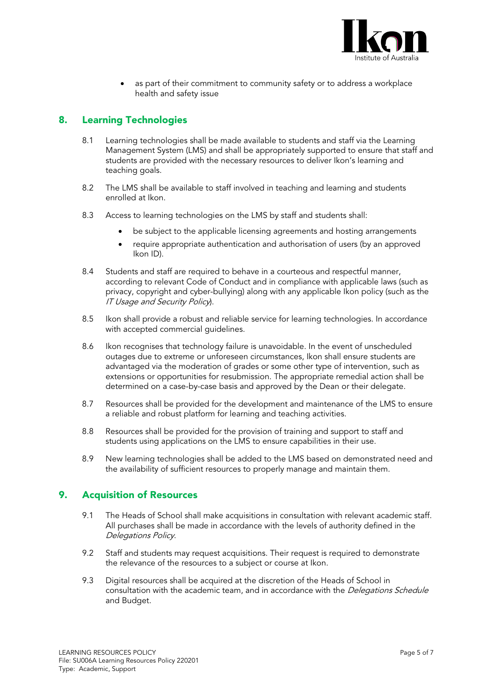

as part of their commitment to community safety or to address a workplace health and safety issue

# 8. Learning Technologies

- 8.1 Learning technologies shall be made available to students and staff via the Learning Management System (LMS) and shall be appropriately supported to ensure that staff and students are provided with the necessary resources to deliver Ikon's learning and teaching goals.
- 8.2 The LMS shall be available to staff involved in teaching and learning and students enrolled at Ikon.
- 8.3 Access to learning technologies on the LMS by staff and students shall:
	- be subject to the applicable licensing agreements and hosting arrangements
	- require appropriate authentication and authorisation of users (by an approved Ikon ID).
- 8.4 Students and staff are required to behave in a courteous and respectful manner, according to relevant Code of Conduct and in compliance with applicable laws (such as privacy, copyright and cyber-bullying) along with any applicable Ikon policy (such as the IT Usage and Security Policy).
- 8.5 Ikon shall provide a robust and reliable service for learning technologies. In accordance with accepted commercial guidelines.
- 8.6 Ikon recognises that technology failure is unavoidable. In the event of unscheduled outages due to extreme or unforeseen circumstances, Ikon shall ensure students are advantaged via the moderation of grades or some other type of intervention, such as extensions or opportunities for resubmission. The appropriate remedial action shall be determined on a case-by-case basis and approved by the Dean or their delegate.
- 8.7 Resources shall be provided for the development and maintenance of the LMS to ensure a reliable and robust platform for learning and teaching activities.
- 8.8 Resources shall be provided for the provision of training and support to staff and students using applications on the LMS to ensure capabilities in their use.
- 8.9 New learning technologies shall be added to the LMS based on demonstrated need and the availability of sufficient resources to properly manage and maintain them.

#### 9. Acquisition of Resources

- 9.1 The Heads of School shall make acquisitions in consultation with relevant academic staff. All purchases shall be made in accordance with the levels of authority defined in the Delegations Policy.
- 9.2 Staff and students may request acquisitions. Their request is required to demonstrate the relevance of the resources to a subject or course at Ikon.
- 9.3 Digital resources shall be acquired at the discretion of the Heads of School in consultation with the academic team, and in accordance with the Delegations Schedule and Budget.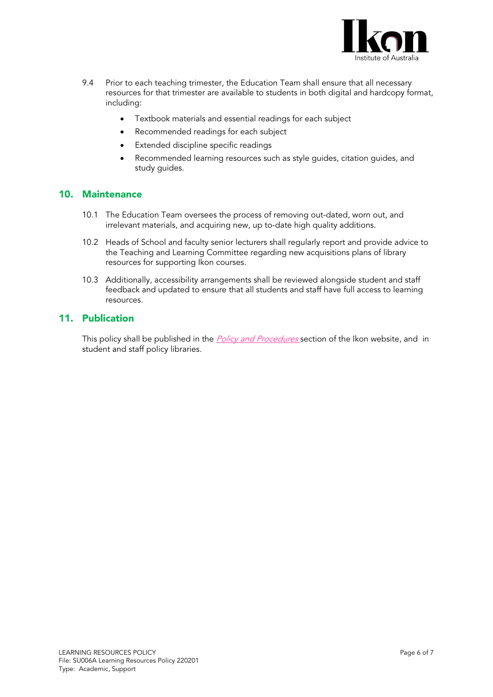

- 9.4 Prior to each teaching trimester, the Education Team shall ensure that all necessary resources for that trimester are available to students in both digital and hardcopy format, including:
	- Textbook materials and essential readings for each subject
	- Recommended readings for each subject
	- Extended discipline specific readings
	- Recommended learning resources such as style guides, citation guides, and study guides.

#### 10. Maintenance

- 10.1 The Education Team oversees the process of removing out-dated, worn out, and irrelevant materials, and acquiring new, up to-date high quality additions.
- 10.2 Heads of School and faculty senior lecturers shall regularly report and provide advice to the Teaching and Learning Committee regarding new acquisitions plans of library resources for supporting Ikon courses.
- 10.3 Additionally, accessibility arrangements shall be reviewed alongside student and staff feedback and updated to ensure that all students and staff have full access to learning resources.

#### 11. Publication

This policy shall be published in the *[Policy and Procedures](https://ikon.edu.au/policies-procedures/)* section of the Ikon website, and in student and staff policy libraries.